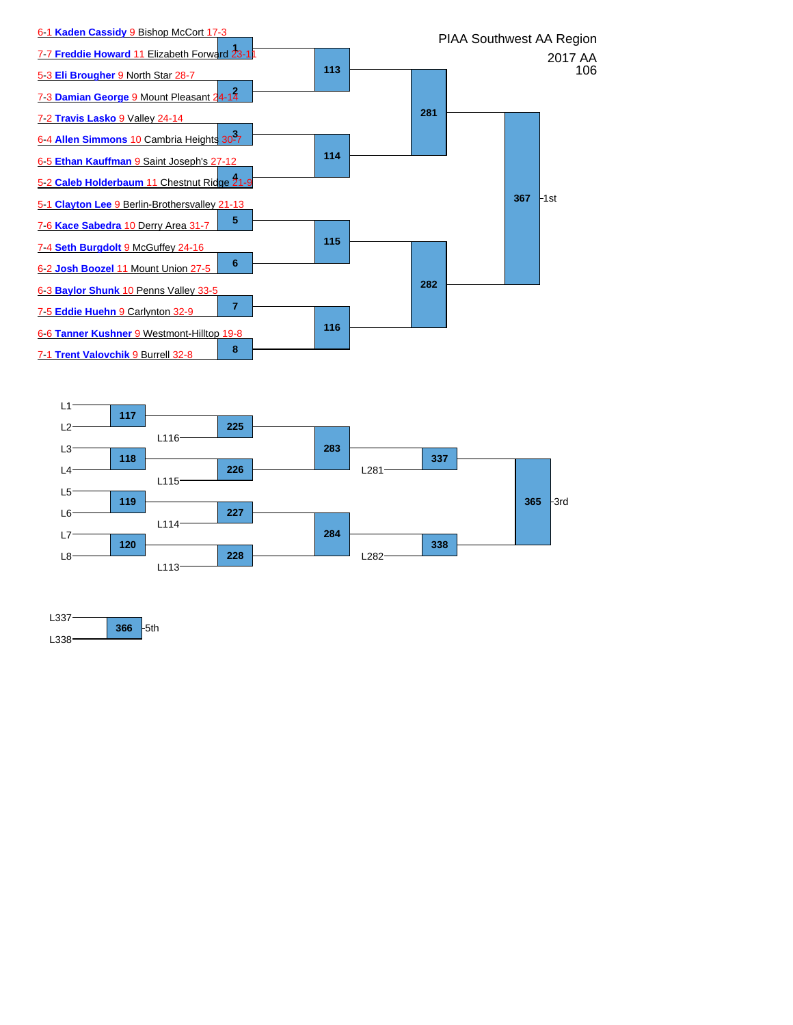



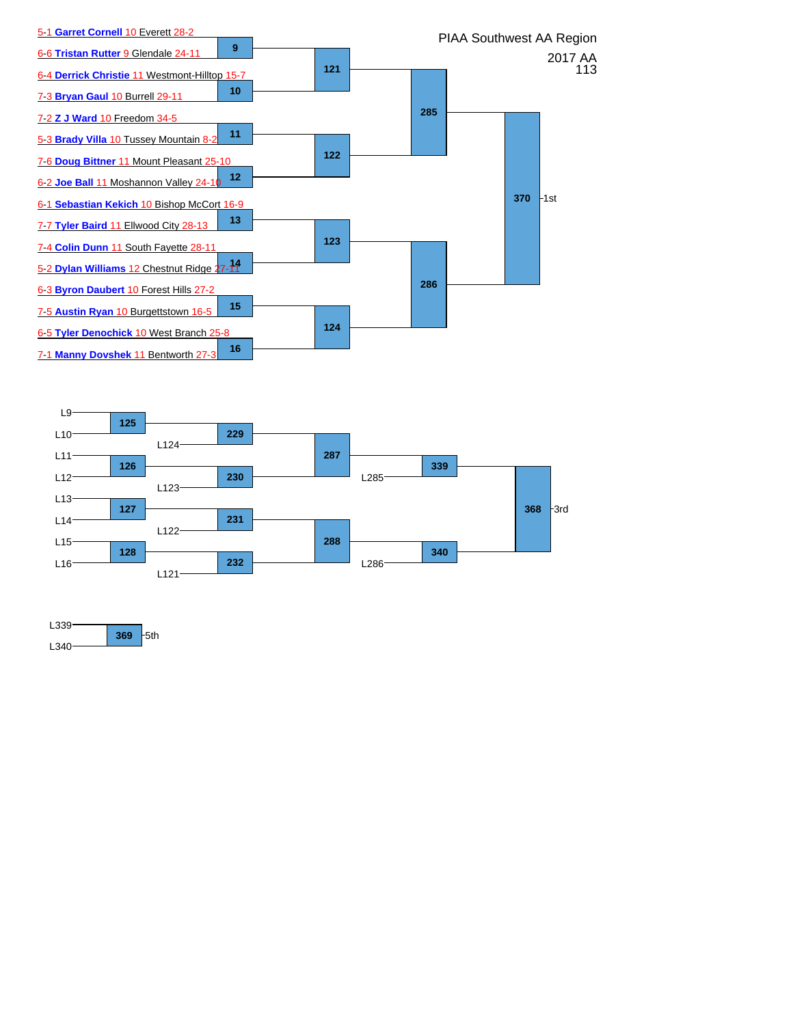



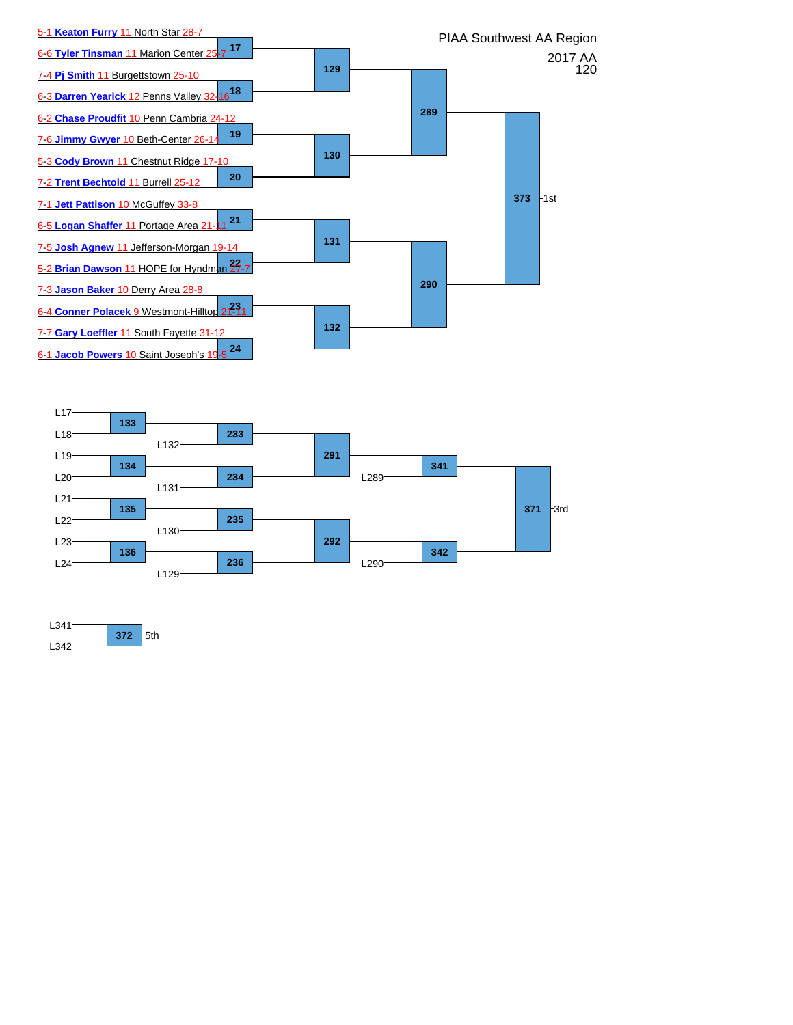



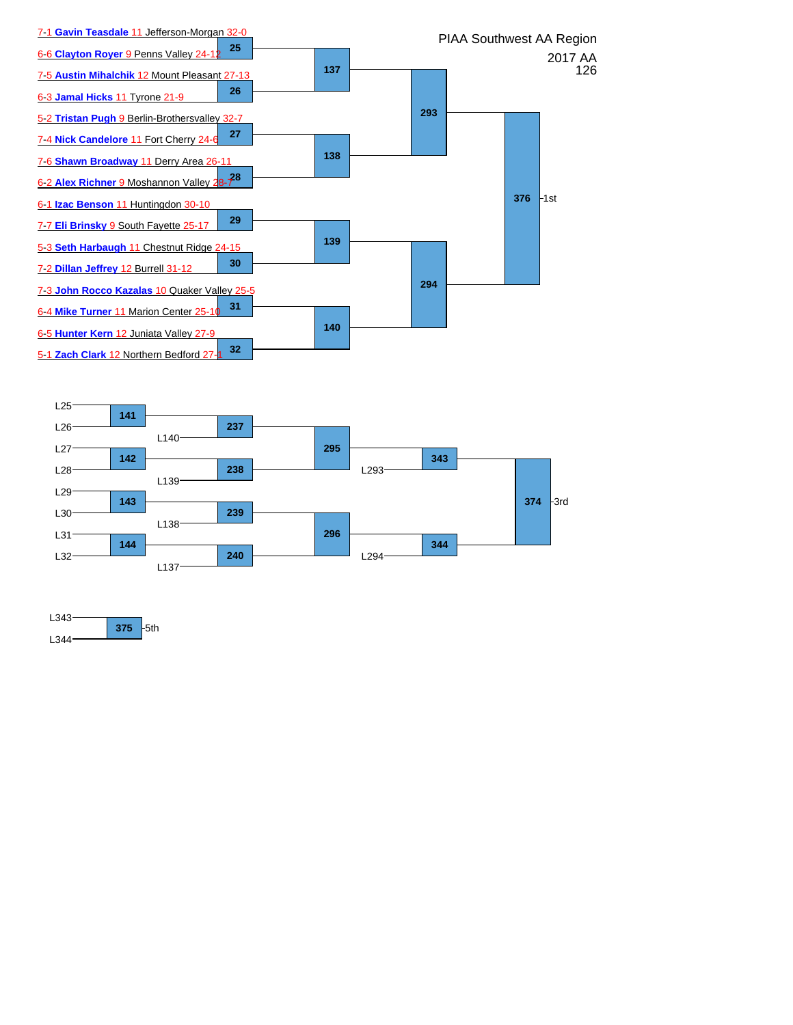



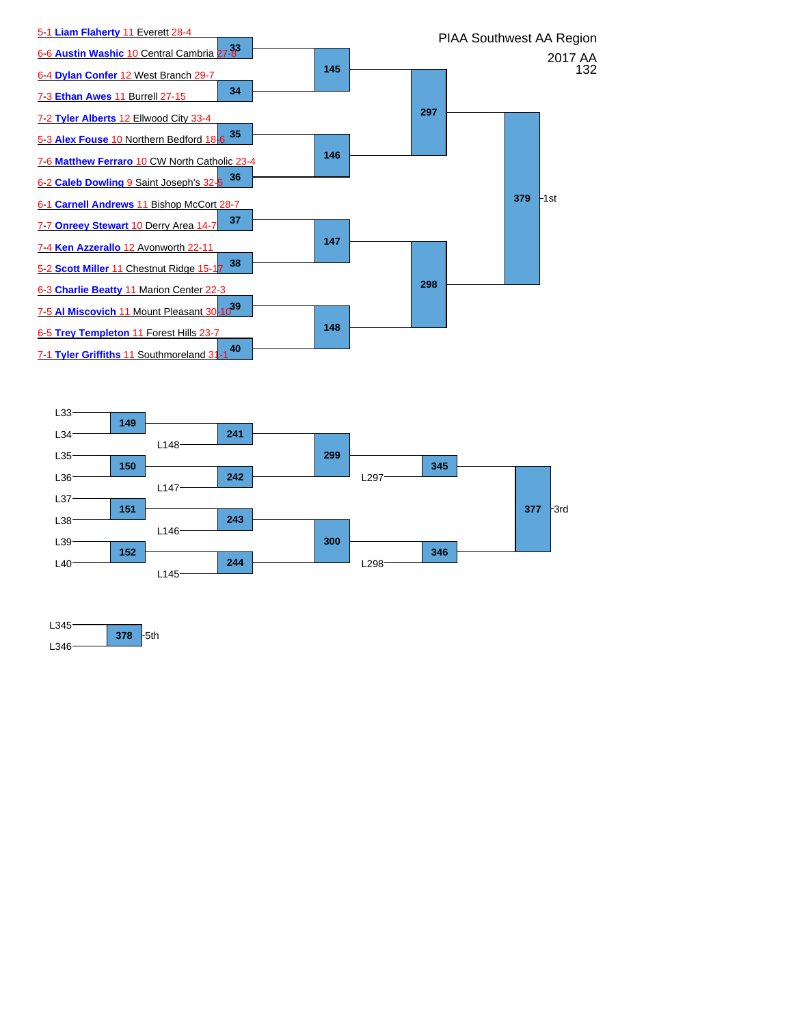



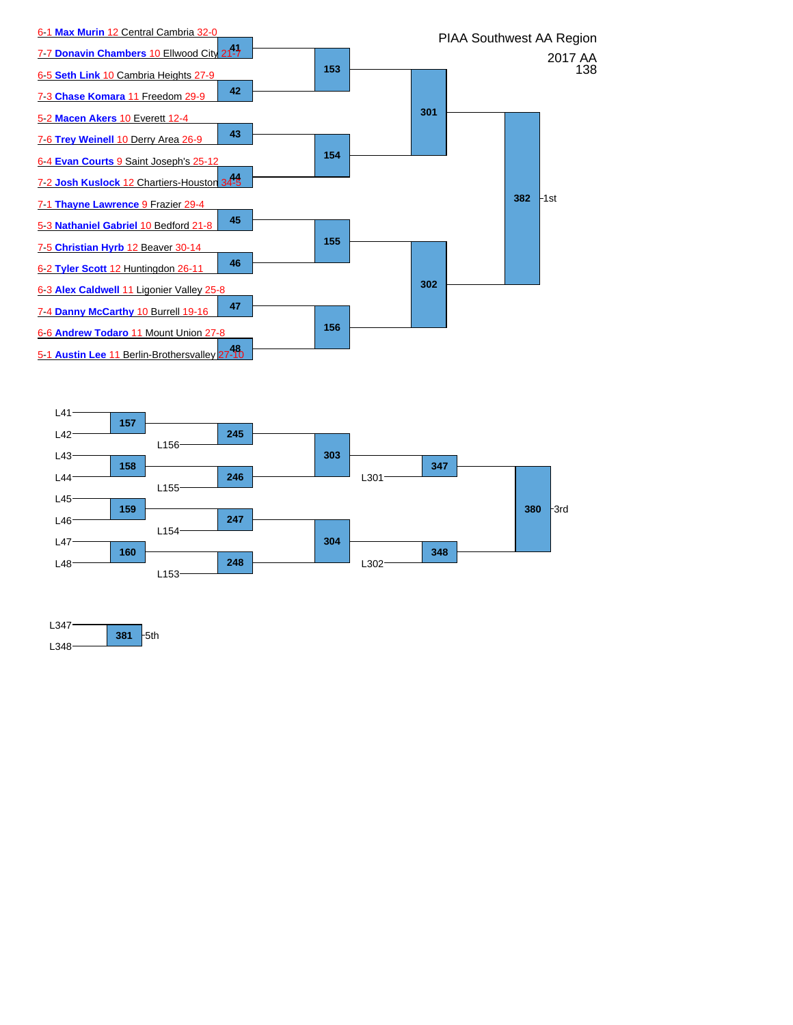



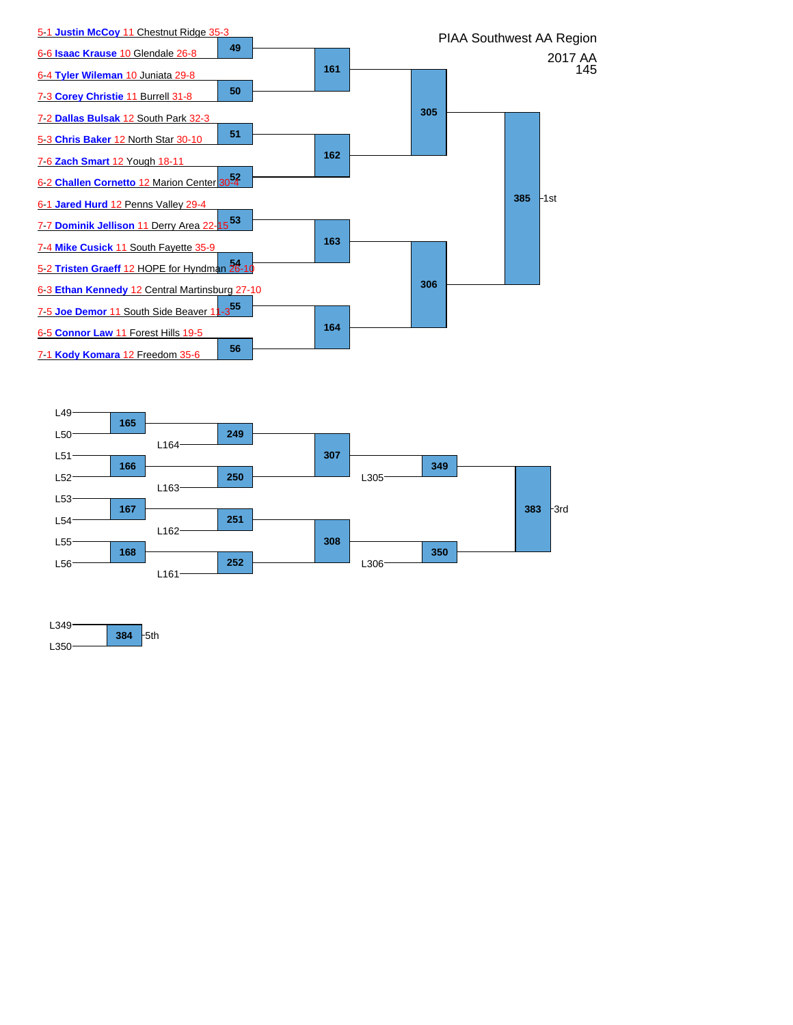



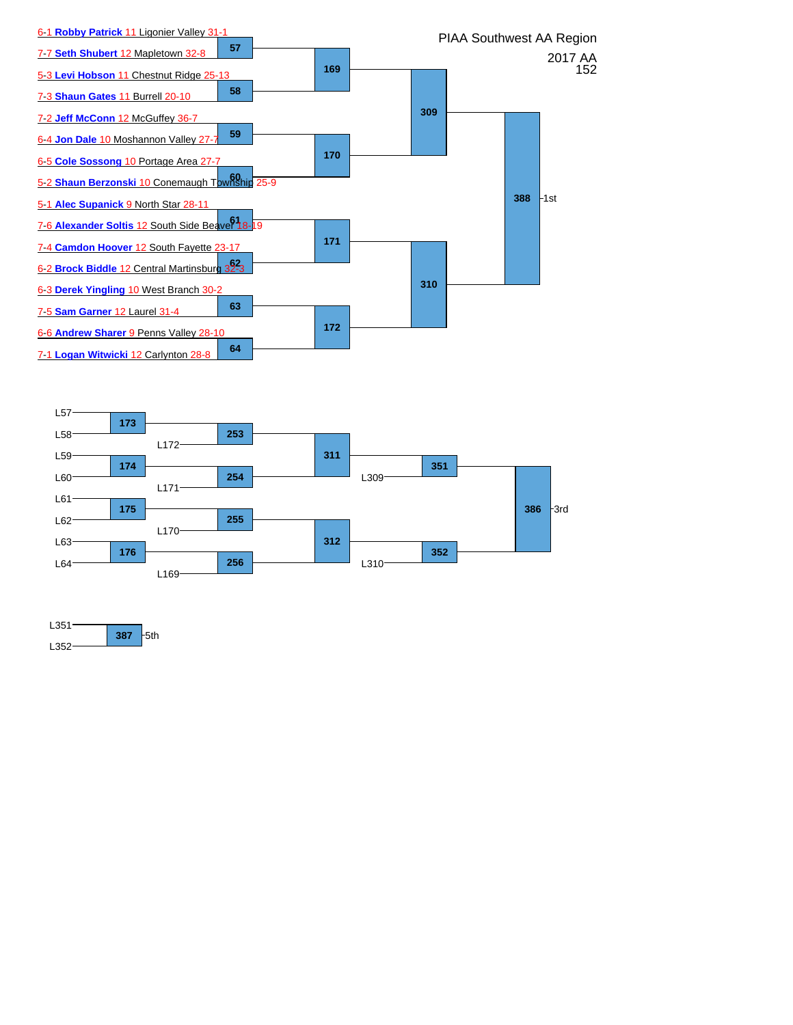



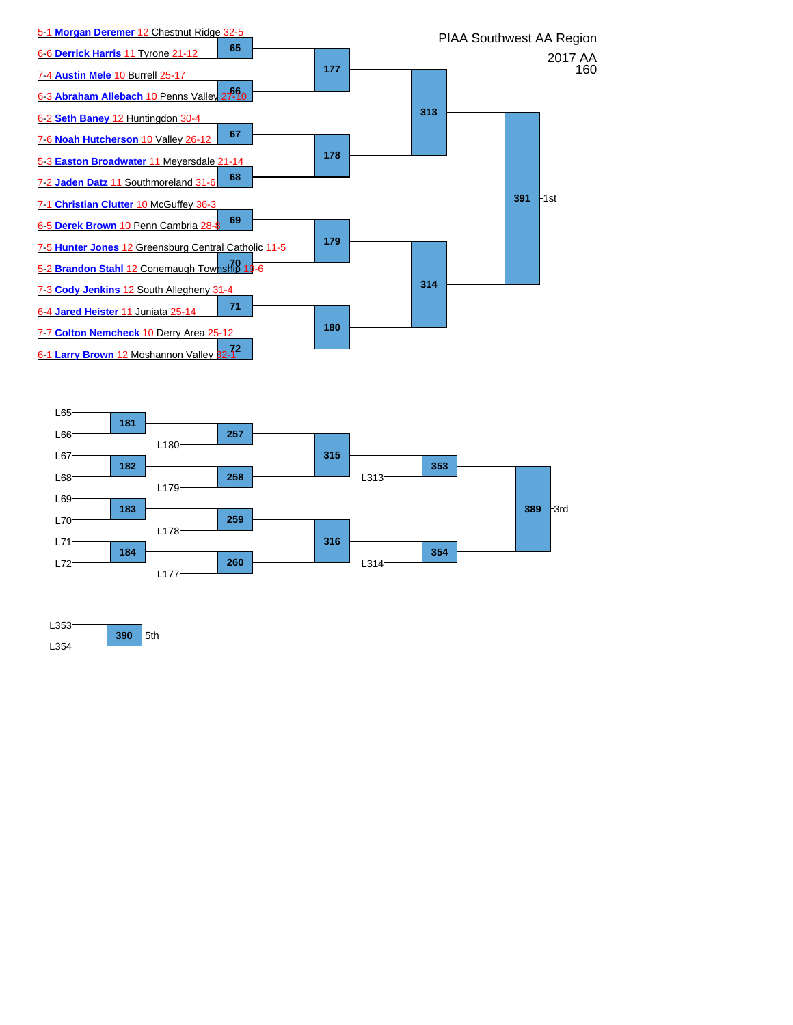



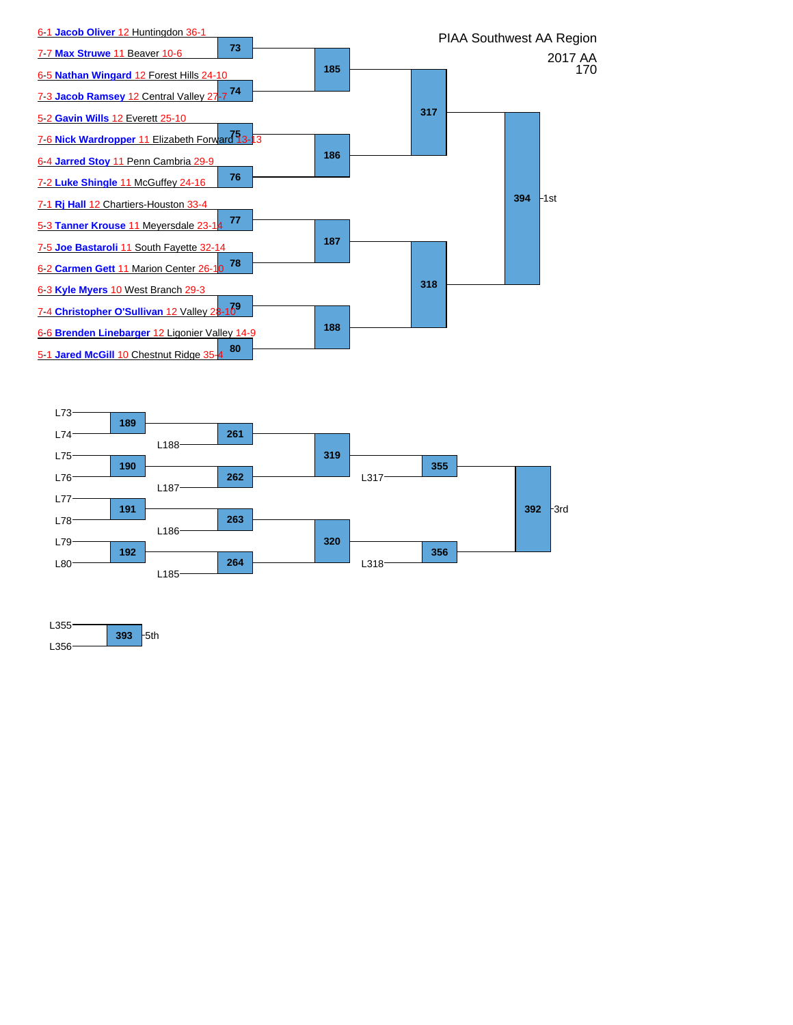



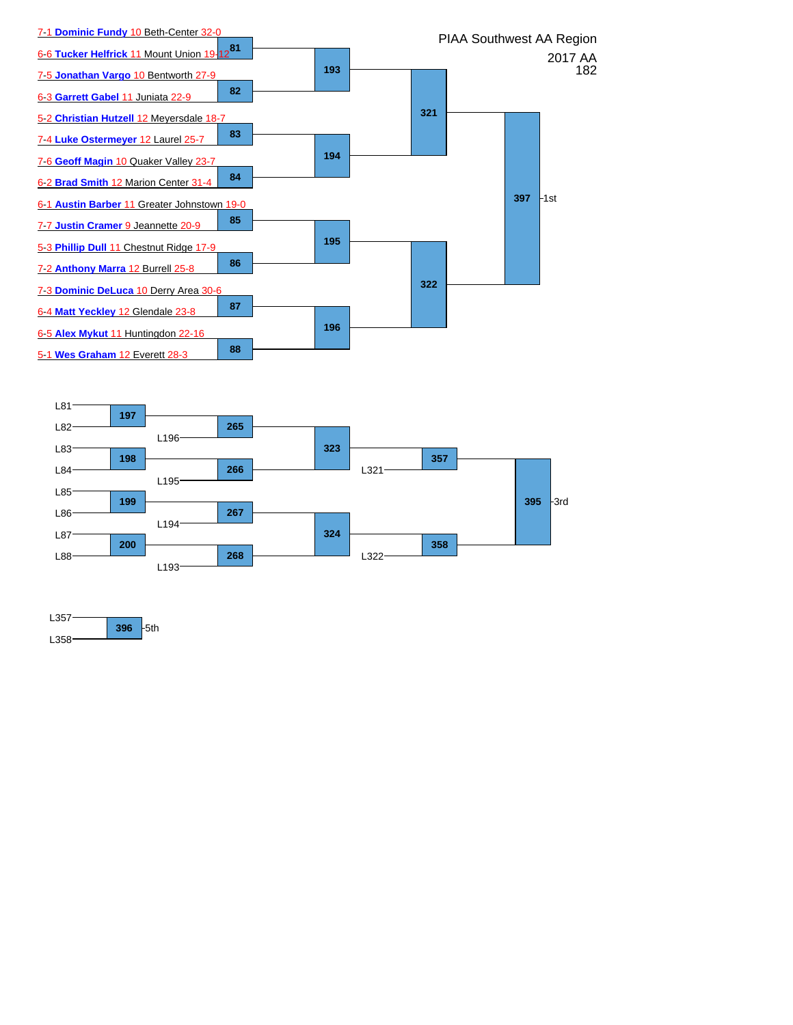



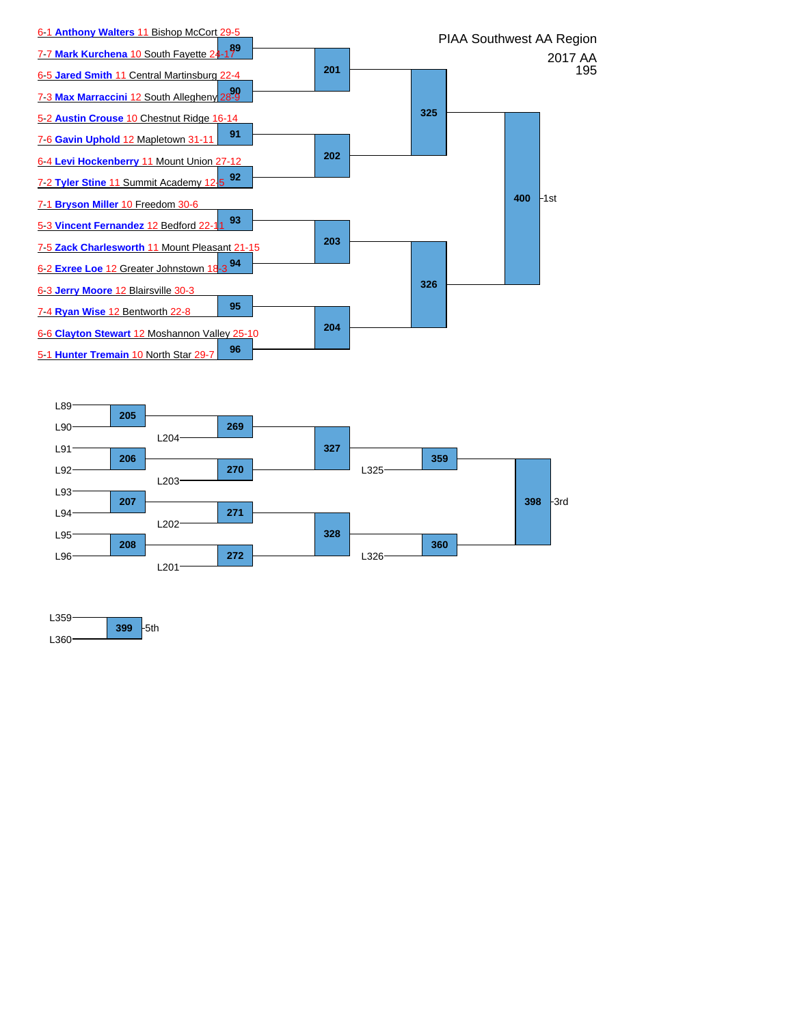



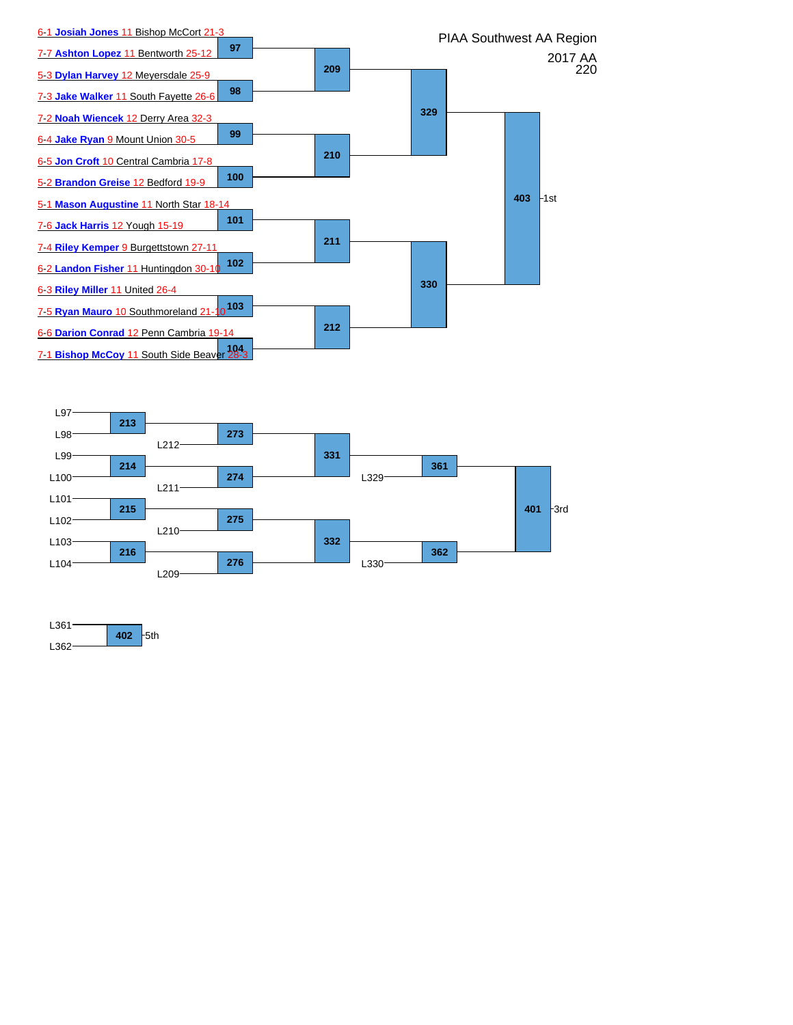